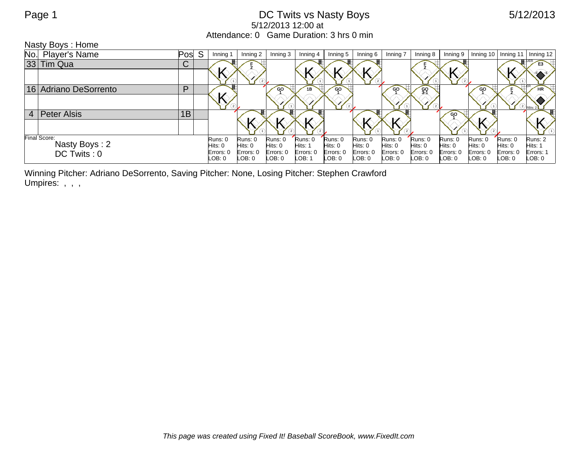## Page 1 DC Twits vs Nasty Boys 5/12/2013 5/12/2013 12:00 at Attendance: 0 Game Duration: 3 hrs 0 min

|              | Nasty Boys: Home             |     |    |                                |                                |                                |                                |                               |                               |                                |                                |                                |                                |                               |                                |
|--------------|------------------------------|-----|----|--------------------------------|--------------------------------|--------------------------------|--------------------------------|-------------------------------|-------------------------------|--------------------------------|--------------------------------|--------------------------------|--------------------------------|-------------------------------|--------------------------------|
|              | No. Player's Name            | Pos | S. | Inning 1                       | Inning 2                       | Inning 3                       | Inning 4                       | Inning 5                      | Inning 6                      | Inning 7                       | Inning 8                       | Inning 9                       | Inning 10                      | Inning 11                     | Inning 12                      |
|              | 33 Tim Qua                   | C   |    |                                |                                |                                |                                |                               |                               |                                |                                |                                |                                |                               |                                |
|              |                              |     |    |                                |                                |                                |                                |                               |                               |                                |                                |                                |                                |                               |                                |
|              | 16 Adriano DeSorrento        | P   |    |                                |                                | GO                             | <b>1B</b>                      | GO                            |                               | GO                             | $S^{\circ}$                    |                                | GO.                            |                               | HR.                            |
|              |                              |     |    |                                |                                |                                |                                |                               |                               |                                | (2)                            |                                |                                |                               | $(2)_{RBIS:2}$                 |
|              | 4   Peter Alsis              | 1B  |    |                                |                                |                                |                                |                               |                               |                                |                                | GC                             |                                |                               |                                |
|              |                              |     |    |                                |                                |                                |                                |                               |                               |                                |                                |                                |                                |                               |                                |
| Final Score: |                              |     |    | Runs: 0                        | Runs: 0                        | Runs: 0                        | Runs: 0                        | Runs: 0                       | Runs: 0                       | Runs: 0                        | Runs: 0                        | Runs: 0                        | Runs: 0                        | Runs: 0                       | Runs: 2                        |
|              | Nasty Boys: 2<br>DC Twits: 0 |     |    | Hits: 0<br>Errors: 0<br>LOB: 0 | Hits: 0<br>Errors: 0<br>LOB: 0 | Hits: 0<br>Errors: 0<br>LOB: 0 | Hits: 1<br>Errors: 0<br>LOB: 1 | Hits: 0<br>Errors: 0<br>LOB:0 | Hits: 0<br>Errors: 0<br>DB: 0 | Hits: 0<br>Errors: 0<br>LOB: 0 | Hits: 0<br>Errors: 0<br>LOB: 0 | Hits: 0<br>Errors: 0<br>LOB: 0 | Hits: 0<br>Errors: 0<br>LOB: 0 | Hits: 0<br>Errors: 0<br>LOB:0 | Hits: 1<br>Errors: 1<br>LOB: 0 |

Winning Pitcher: Adriano DeSorrento, Saving Pitcher: None, Losing Pitcher: Stephen Crawford Umpires: , , ,